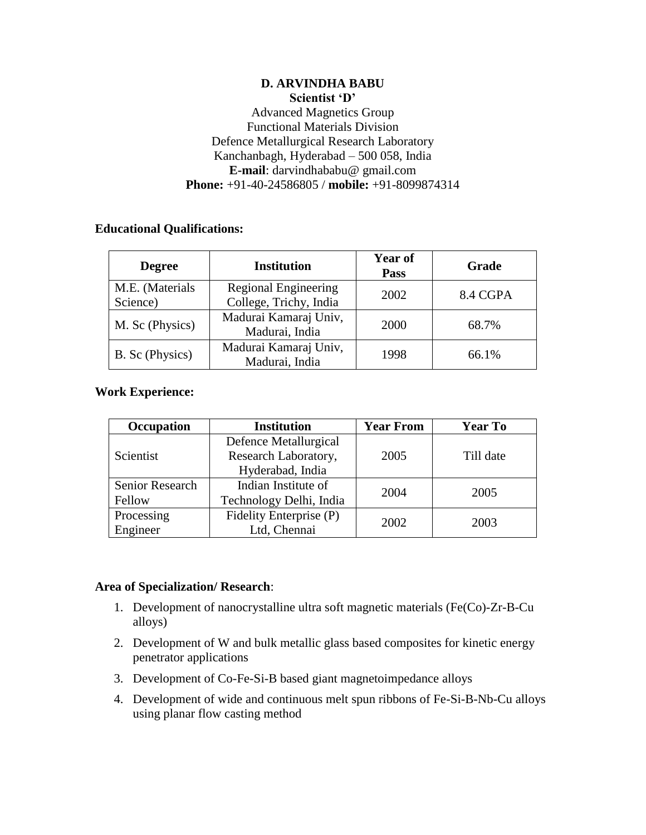## **D. ARVINDHA BABU Scientist 'D'** Advanced Magnetics Group Functional Materials Division Defence Metallurgical Research Laboratory Kanchanbagh, Hyderabad – 500 058, India **E-mail**: darvindhababu@ gmail.com **Phone:** +91-40-24586805 / **mobile:** +91-8099874314

# **Educational Qualifications:**

| <b>Degree</b>               | <b>Institution</b>                                    | <b>Year of</b><br>Pass | Grade    |
|-----------------------------|-------------------------------------------------------|------------------------|----------|
| M.E. (Materials<br>Science) | <b>Regional Engineering</b><br>College, Trichy, India | 2002                   | 8.4 CGPA |
| M. Sc (Physics)             | Madurai Kamaraj Univ,<br>Madurai, India               | 2000                   | 68.7%    |
| B. Sc (Physics)             | Madurai Kamaraj Univ,<br>Madurai, India               | 1998                   | 66.1%    |

## **Work Experience:**

| Occupation      | <b>Institution</b>      | <b>Year From</b> | <b>Year To</b> |
|-----------------|-------------------------|------------------|----------------|
| Scientist       | Defence Metallurgical   | 2005             | Till date      |
|                 | Research Laboratory,    |                  |                |
|                 | Hyderabad, India        |                  |                |
| Senior Research | Indian Institute of     | 2004             | 2005           |
| Fellow          | Technology Delhi, India |                  |                |
| Processing      | Fidelity Enterprise (P) | 2002             | 2003           |
| Engineer        | Ltd, Chennai            |                  |                |

## **Area of Specialization/ Research**:

- 1. Development of nanocrystalline ultra soft magnetic materials (Fe(Co)-Zr-B-Cu alloys)
- 2. Development of W and bulk metallic glass based composites for kinetic energy penetrator applications
- 3. Development of Co-Fe-Si-B based giant magnetoimpedance alloys
- 4. Development of wide and continuous melt spun ribbons of Fe-Si-B-Nb-Cu alloys using planar flow casting method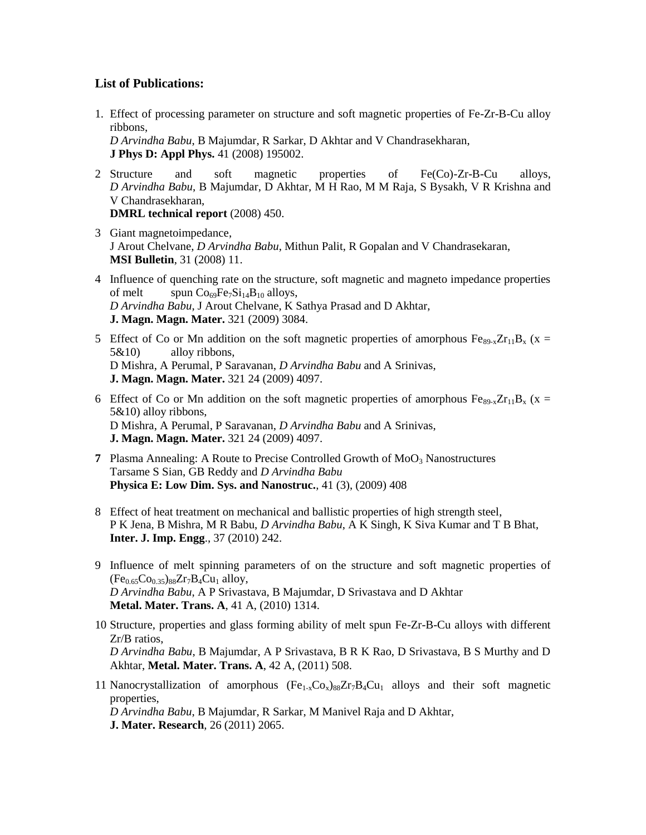#### **List of Publications:**

1. Effect of processing parameter on structure and soft magnetic properties of Fe-Zr-B-Cu alloy ribbons,

*D Arvindha Babu*, B Majumdar, R Sarkar, D Akhtar and V Chandrasekharan, **J Phys D: Appl Phys.** 41 (2008) 195002.

- 2 Structure and soft magnetic properties of Fe(Co)-Zr-B-Cu alloys, *D Arvindha Babu*, B Majumdar, D Akhtar, M H Rao, M M Raja, S Bysakh, V R Krishna and V Chandrasekharan, **DMRL technical report** (2008) 450.
- 3 Giant magnetoimpedance, J Arout Chelvane, *D Arvindha Babu*, Mithun Palit, R Gopalan and V Chandrasekaran, **MSI Bulletin**, 31 (2008) 11.
- 4 Influence of quenching rate on the structure, soft magnetic and magneto impedance properties of melt spun  $Co_{69}Fe_7Si_{14}B_{10}$  alloys, *D Arvindha Babu*, J Arout Chelvane, K Sathya Prasad and D Akhtar, **J. Magn. Magn. Mater.** 321 (2009) 3084.
- 5 Effect of Co or Mn addition on the soft magnetic properties of amorphous  $Fe_{89-x}Zr_{11}B_x$  (x = 5&10) alloy ribbons, D Mishra, A Perumal, P Saravanan, *D Arvindha Babu* and A Srinivas, **J. Magn. Magn. Mater.** 321 24 (2009) 4097.
- 6 Effect of Co or Mn addition on the soft magnetic properties of amorphous  $Fe_{89-x}Zr_{11}B_x$  (x = 5&10) alloy ribbons, D Mishra, A Perumal, P Saravanan, *D Arvindha Babu* and A Srinivas, **J. Magn. Magn. Mater.** 321 24 (2009) 4097.
- **7** Plasma Annealing: A Route to Precise Controlled Growth of  $MoO<sub>3</sub>$  Nanostructures Tarsame S Sian, GB Reddy and *D Arvindha Babu* **Physica E: Low Dim. Sys. and Nanostruc.**, 41 (3), (2009) 408
- 8 Effect of heat treatment on mechanical and ballistic properties of high strength steel, P K Jena, B Mishra, M R Babu, *D Arvindha Babu*, A K Singh, K Siva Kumar and T B Bhat, **Inter. J. Imp. Engg**., 37 (2010) 242.
- 9 Influence of melt spinning parameters of on the structure and soft magnetic properties of  $(Fe_{0.65}Co_{0.35})_{88}Zr_7B_4Cu_1$  alloy, *D Arvindha Babu*, A P Srivastava, B Majumdar, D Srivastava and D Akhtar **Metal. Mater. Trans. A**, 41 A, (2010) 1314.
- 10 Structure, properties and glass forming ability of melt spun Fe-Zr-B-Cu alloys with different Zr/B ratios, *D Arvindha Babu*, B Majumdar, A P Srivastava, B R K Rao, D Srivastava, B S Murthy and D Akhtar, **Metal. Mater. Trans. A**, 42 A, (2011) 508.
- 11 Nanocrystallization of amorphous  $(Fe_{1x}Co_{x})_{88}Zr_{7}B_{4}Cu_{1}$  alloys and their soft magnetic properties,

*D Arvindha Babu*, B Majumdar, R Sarkar, M Manivel Raja and D Akhtar, **J. Mater. Research**, 26 (2011) 2065.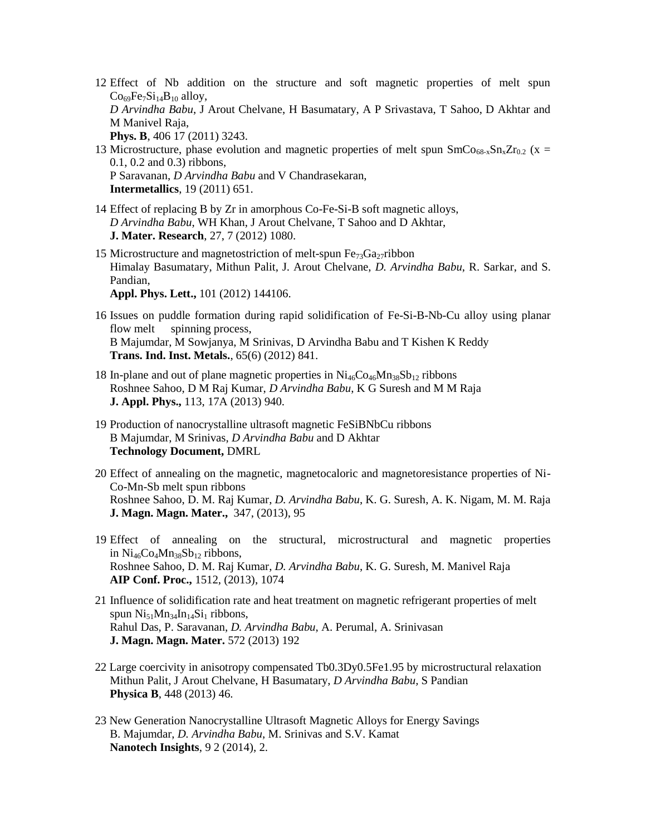- 12 Effect of Nb addition on the structure and soft magnetic properties of melt spun  $Co<sub>69</sub>Fe<sub>7</sub>Si<sub>14</sub>B<sub>10</sub>$  alloy, *D Arvindha Babu*, J Arout Chelvane, H Basumatary, A P Srivastava, T Sahoo, D Akhtar and M Manivel Raja, **Phys. B**, 406 17 (2011) 3243.
- 13 Microstructure, phase evolution and magnetic properties of melt spun  $SmCo_{68-x}Sn_xZr_{0.2}$  (x = 0.1, 0.2 and 0.3) ribbons, P Saravanan, *D Arvindha Babu* and V Chandrasekaran, **Intermetallics**, 19 (2011) 651.
- 14 Effect of replacing B by Zr in amorphous Co-Fe-Si-B soft magnetic alloys, *D Arvindha Babu*, WH Khan, J Arout Chelvane, T Sahoo and D Akhtar, **J. Mater. Research**, 27, 7 (2012) 1080.
- 15 Microstructure and magnetostriction of melt-spun  $Fe_{73}Ga_{27}$ ribbon Himalay Basumatary, Mithun Palit, J. Arout Chelvane, *D. Arvindha Babu*, R. Sarkar, and S. Pandian, **Appl. Phys. Lett.,** 101 (2012) 144106.
- 16 Issues on puddle formation during rapid solidification of Fe-Si-B-Nb-Cu alloy using planar flow melt spinning process, B Majumdar, M Sowjanya, M Srinivas, D Arvindha Babu and T Kishen K Reddy **Trans. Ind. Inst. Metals.**, 65(6) (2012) 841.
- 18 In-plane and out of plane magnetic properties in  $Ni_{46}Co_{46}Mn_{38}Sb_{12}$  ribbons Roshnee Sahoo, D M Raj Kumar, *D Arvindha Babu*, K G Suresh and M M Raja **J. Appl. Phys.,** 113, 17A (2013) 940.
- 19 Production of nanocrystalline ultrasoft magnetic FeSiBNbCu ribbons B Majumdar, M Srinivas, *D Arvindha Babu* and D Akhtar **Technology Document,** DMRL
- 20 Effect of annealing on the magnetic, magnetocaloric and magnetoresistance properties of Ni-Co-Mn-Sb melt spun ribbons [Roshnee Sahoo,](http://arxiv.org/find/cond-mat/1/au:+Sahoo_R/0/1/0/all/0/1) [D. M. Raj Kumar,](http://arxiv.org/find/cond-mat/1/au:+Kumar_D/0/1/0/all/0/1) *[D. Arvindha Babu](http://arxiv.org/find/cond-mat/1/au:+Babu_D/0/1/0/all/0/1)*, [K. G. Suresh,](http://arxiv.org/find/cond-mat/1/au:+Suresh_K/0/1/0/all/0/1) [A. K. Nigam,](http://arxiv.org/find/cond-mat/1/au:+Nigam_A/0/1/0/all/0/1) [M. M. Raja](http://arxiv.org/find/cond-mat/1/au:+Raja_M/0/1/0/all/0/1) **[J. Magn. Magn. Mater.,](http://www.sciencedirect.com/science/journal/03048853)** [347,](http://www.sciencedirect.com/science/journal/03048853/347/supp/C) (2013), 95
- 19 Effect of annealing on the structural, microstructural and magnetic properties in  $Ni_{46}Co_4Mn_{38}Sb_{12}$  ribbons, [Roshnee Sahoo,](http://arxiv.org/find/cond-mat/1/au:+Sahoo_R/0/1/0/all/0/1) [D. M. Raj Kumar,](http://arxiv.org/find/cond-mat/1/au:+Kumar_D/0/1/0/all/0/1) *[D. Arvindha Babu](http://arxiv.org/find/cond-mat/1/au:+Babu_D/0/1/0/all/0/1)*, [K. G. Suresh,](http://arxiv.org/find/cond-mat/1/au:+Suresh_K/0/1/0/all/0/1) [M. Manivel Raja](http://arxiv.org/find/cond-mat/1/au:+Raja_M/0/1/0/all/0/1) **AIP Conf. Proc.,** 1512, (2013), 1074
- 21 Influence of solidification rate and heat treatment on magnetic refrigerant properties of melt spun  $Ni_{51}Mn_{34}In_{14}Si_1$  ribbons, Rahul Das, P. Saravanan, *D. Arvindha Babu*, A. Perumal, A. Srinivasan **[J. Magn. Magn. Mater.](http://www.sciencedirect.com/science/article/pii/S0925838813007925)** 572 (2013) 192
- 22 Large coercivity in anisotropy compensated Tb0.3Dy0.5Fe1.95 by microstructural relaxation Mithun Palit, J Arout Chelvane, H Basumatary, *D Arvindha Babu,* S Pandian **Physica B**, 448 (2013) 46.
- 23 New Generation Nanocrystalline Ultrasoft Magnetic Alloys for Energy Savings B. Majumdar, *D. Arvindha Babu*, M. Srinivas and S.V. Kamat **Nanotech Insights**, 9 2 (2014), 2.